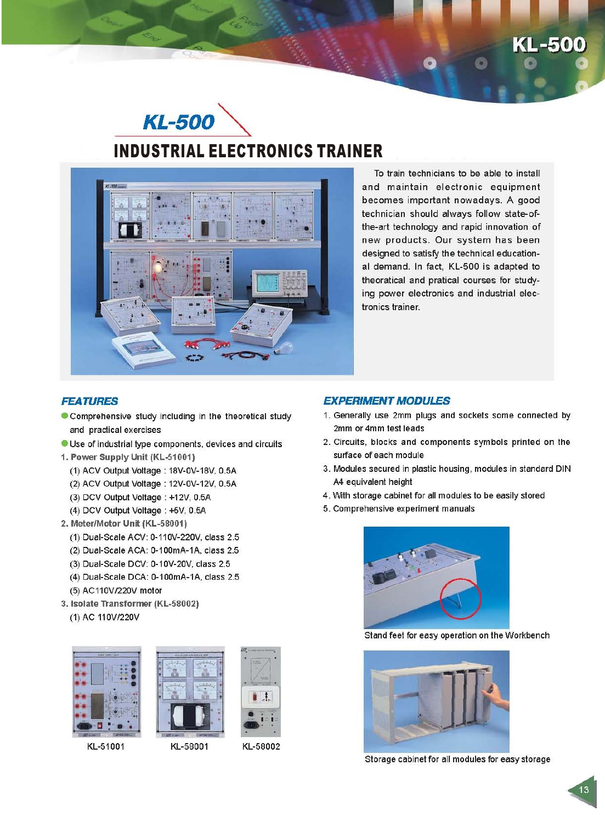# KL-500





To train technicians to be able to install and maintain electronic equipment becomes important nowadays. A good technician should always follow state-ofthe-art technology and rapid innovation of new products. Our system has been designed to satisfy the technical educational demand. In fact, KL-500 is adapted to theoratical and pratical courses for studying power electronics and industrial electronics trainer.

## **FEATURES**

- Comprehensive study including in the theoretical study and practical exercises
- Use of industrial type components, devices and circuits
- 1. Power Supply Unit (KL-51001)
	- (1) ACV Output Voltage: 18V-0V-18V, 0.5A
	- (2) ACV Output Voltage: 12V-0V-12V, 0.5A
	- (3) DCV Output Voltage: +12V, 0.5A
	- (4) DCV Output Voltage: +5V, 0.5A
- 2. Meter/Motor Unit (KL-58001)
	- (1) Dual-Scale ACV: 0-110V-220V, class 2.5
	- (2) Dual-Scale ACA: 0-100mA-1A, class 2.5
	- (3) Dual-Scale DCV: 0-10V-20V, class 2.5
	- (4) Dual-Scale DCA: 0-100mA-1A, class 2.5
	- (5) AC110V/220V motor
- 3. Isolate Transformer (KL-58002) (1) AC 110V/220V



KL-51001



KL-58002

## **EXPERIMENT MODULES**

- 1. Generally use 2mm plugs and sockets some connected by 2mm or 4mm test leads
- 2. Circuits, blocks and components symbols printed on the surface of each module
- 3. Modules secured in plastic housing, modules in standard DIN A4 equivalent height
- 4. With storage cabinet for all modules to be easily stored
- 5. Comprehensive experiment manuals



Stand feet for easy operation on the Workbench



Storage cabinet for all modules for easy storage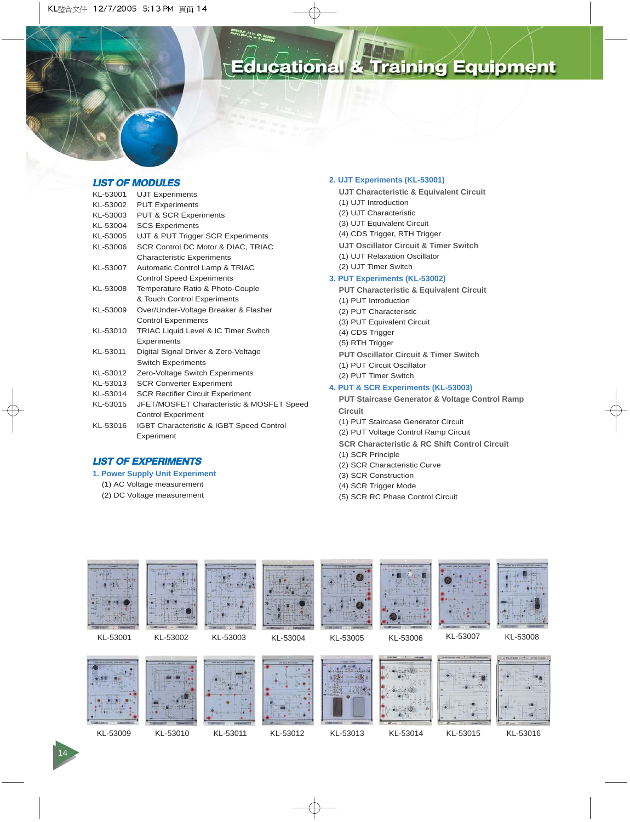

## **LIST OF MODULES**

| KL-53001 | <b>UJT Experiments</b>                          |
|----------|-------------------------------------------------|
| KL-53002 | <b>PUT Experiments</b>                          |
| KL-53003 | <b>PUT &amp; SCR Experiments</b>                |
| KL-53004 | <b>SCS Experiments</b>                          |
| KL-53005 | UJT & PUT Trigger SCR Experiments               |
| KL-53006 | SCR Control DC Motor & DIAC, TRIAC              |
|          | <b>Characteristic Experiments</b>               |
| KL-53007 | Automatic Control Lamp & TRIAC                  |
|          | <b>Control Speed Experiments</b>                |
| KL-53008 | Temperature Ratio & Photo-Couple                |
|          | & Touch Control Experiments                     |
| KL-53009 | Over/Under-Voltage Breaker & Flasher            |
|          | <b>Control Experiments</b>                      |
| KL-53010 | <b>TRIAC Liquid Level &amp; IC Timer Switch</b> |
|          | Experiments                                     |
| KL-53011 | Digital Signal Driver & Zero-Voltage            |
|          | <b>Switch Experiments</b>                       |
| KL-53012 | Zero-Voltage Switch Experiments                 |
| KL-53013 | <b>SCR Converter Experiment</b>                 |
| KL-53014 | <b>SCR Rectifier Circuit Experiment</b>         |
| KL-53015 | JFET/MOSFET Characteristic & MOSFET Speed       |
|          | <b>Control Experiment</b>                       |
| KL-53016 | IGBT Characteristic & IGBT Speed Control        |
|          | Experiment                                      |

## **LIST OF EXPERIMENTS**

- **1. Power Supply Unit Experiment**
	- (1) AC Voltage measurement
	- (2) DC Voltage measurement

#### **2. UJT Experiments (KL-53001)**

- **UJT Characteristic & Equivalent Circuit**
- (1) UJT Introduction
- (2) UJT Characteristic
- (3) UJT Equivalent Circuit
- (4) CDS Trigger, RTH Trigger
- **UJT Oscillator Circuit & Timer Switch**
- (1) UJT Relaxation Oscillator
- (2) UJT Timer Switch

## **3. PUT Experiments (KL-53002)**

- **PUT Characteristic & Equivalent Circuit**
- (1) PUT Introduction
- (2) PUT Characteristic
- (3) PUT Equivalent Circuit
- (4) CDS Trigger
- (5) RTH Trigger
- **PUT Oscillator Circuit & Timer Switch**
- (1) PUT Circuit Oscillator
- (2) PUT Timer Switch

### **4. PUT & SCR Experiments (KL-53003)**

- **PUT Staircase Generator & Voltage Control Ramp Circuit**
- (1) PUT Staircase Generator Circuit
- (2) PUT Voltage Control Ramp Circuit
- **SCR Characteristic & RC Shift Control Circuit**
- (1) SCR Principle
- (2) SCR Characteristic Curve
- (3) SCR Construction
- (4) SCR Trigger Mode
- (5) SCR RC Phase Control Circuit















KL-53009 KL-53010 KL-53011 KL-53012 KL-53013

KL-53014 KL-53015 KL-53016

14